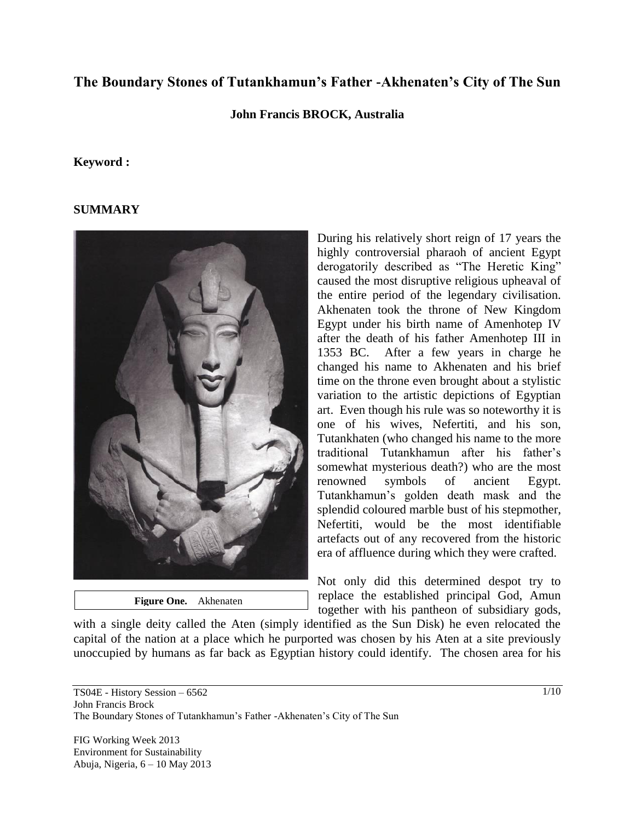# **The Boundary Stones of Tutankhamun's Father -Akhenaten's City of The Sun**

#### **John Francis BROCK, Australia**

#### **Keyword :**

#### **SUMMARY**



 **Figure One.** Akhenaten

During his relatively short reign of 17 years the highly controversial pharaoh of ancient Egypt derogatorily described as "The Heretic King" caused the most disruptive religious upheaval of the entire period of the legendary civilisation. Akhenaten took the throne of New Kingdom Egypt under his birth name of Amenhotep IV after the death of his father Amenhotep III in 1353 BC. After a few years in charge he changed his name to Akhenaten and his brief time on the throne even brought about a stylistic variation to the artistic depictions of Egyptian art. Even though his rule was so noteworthy it is one of his wives, Nefertiti, and his son, Tutankhaten (who changed his name to the more traditional Tutankhamun after his father"s somewhat mysterious death?) who are the most renowned symbols of ancient Egypt. Tutankhamun"s golden death mask and the splendid coloured marble bust of his stepmother, Nefertiti, would be the most identifiable artefacts out of any recovered from the historic era of affluence during which they were crafted.

Not only did this determined despot try to replace the established principal God, Amun together with his pantheon of subsidiary gods,

with a single deity called the Aten (simply identified as the Sun Disk) he even relocated the capital of the nation at a place which he purported was chosen by his Aten at a site previously unoccupied by humans as far back as Egyptian history could identify. The chosen area for his

TS04E - History Session – 6562 John Francis Brock The Boundary Stones of Tutankhamun's Father -Akhenaten's City of The Sun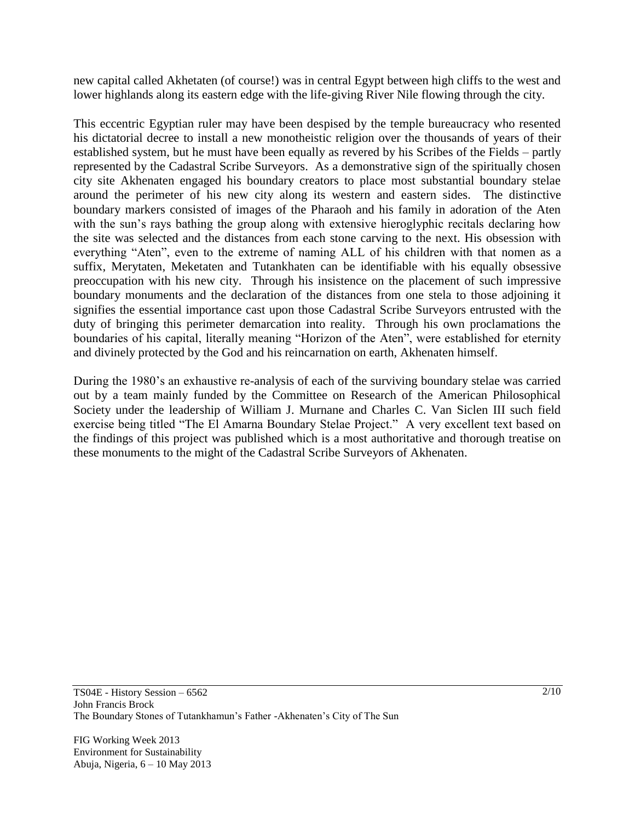new capital called Akhetaten (of course!) was in central Egypt between high cliffs to the west and lower highlands along its eastern edge with the life-giving River Nile flowing through the city.

This eccentric Egyptian ruler may have been despised by the temple bureaucracy who resented his dictatorial decree to install a new monotheistic religion over the thousands of years of their established system, but he must have been equally as revered by his Scribes of the Fields – partly represented by the Cadastral Scribe Surveyors. As a demonstrative sign of the spiritually chosen city site Akhenaten engaged his boundary creators to place most substantial boundary stelae around the perimeter of his new city along its western and eastern sides. The distinctive boundary markers consisted of images of the Pharaoh and his family in adoration of the Aten with the sun's rays bathing the group along with extensive hieroglyphic recitals declaring how the site was selected and the distances from each stone carving to the next. His obsession with everything "Aten", even to the extreme of naming ALL of his children with that nomen as a suffix, Merytaten, Meketaten and Tutankhaten can be identifiable with his equally obsessive preoccupation with his new city. Through his insistence on the placement of such impressive boundary monuments and the declaration of the distances from one stela to those adjoining it signifies the essential importance cast upon those Cadastral Scribe Surveyors entrusted with the duty of bringing this perimeter demarcation into reality. Through his own proclamations the boundaries of his capital, literally meaning "Horizon of the Aten", were established for eternity and divinely protected by the God and his reincarnation on earth, Akhenaten himself.

During the 1980"s an exhaustive re-analysis of each of the surviving boundary stelae was carried out by a team mainly funded by the Committee on Research of the American Philosophical Society under the leadership of William J. Murnane and Charles C. Van Siclen III such field exercise being titled "The El Amarna Boundary Stelae Project." A very excellent text based on the findings of this project was published which is a most authoritative and thorough treatise on these monuments to the might of the Cadastral Scribe Surveyors of Akhenaten.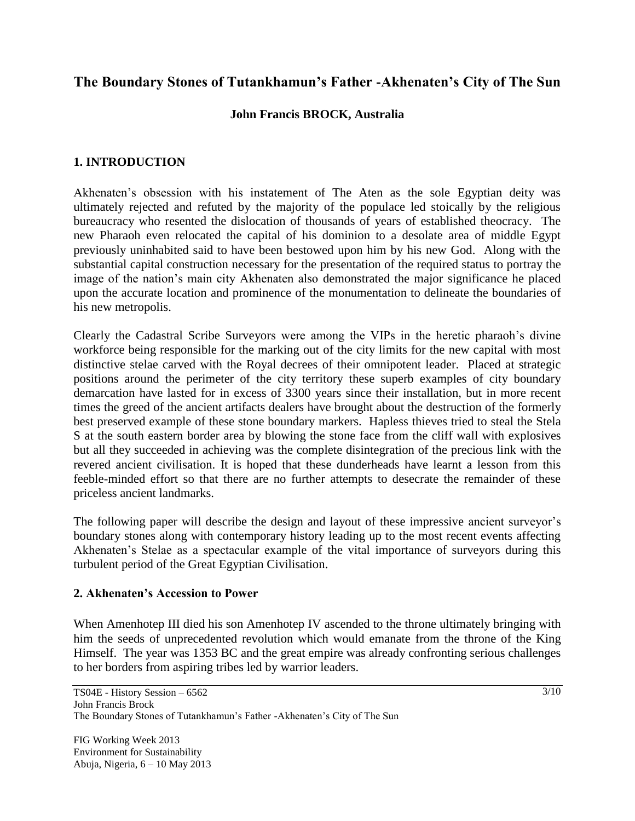# **The Boundary Stones of Tutankhamun's Father -Akhenaten's City of The Sun**

# **John Francis BROCK, Australia**

## **1. INTRODUCTION**

Akhenaten"s obsession with his instatement of The Aten as the sole Egyptian deity was ultimately rejected and refuted by the majority of the populace led stoically by the religious bureaucracy who resented the dislocation of thousands of years of established theocracy. The new Pharaoh even relocated the capital of his dominion to a desolate area of middle Egypt previously uninhabited said to have been bestowed upon him by his new God. Along with the substantial capital construction necessary for the presentation of the required status to portray the image of the nation"s main city Akhenaten also demonstrated the major significance he placed upon the accurate location and prominence of the monumentation to delineate the boundaries of his new metropolis.

Clearly the Cadastral Scribe Surveyors were among the VIPs in the heretic pharaoh"s divine workforce being responsible for the marking out of the city limits for the new capital with most distinctive stelae carved with the Royal decrees of their omnipotent leader. Placed at strategic positions around the perimeter of the city territory these superb examples of city boundary demarcation have lasted for in excess of 3300 years since their installation, but in more recent times the greed of the ancient artifacts dealers have brought about the destruction of the formerly best preserved example of these stone boundary markers. Hapless thieves tried to steal the Stela S at the south eastern border area by blowing the stone face from the cliff wall with explosives but all they succeeded in achieving was the complete disintegration of the precious link with the revered ancient civilisation. It is hoped that these dunderheads have learnt a lesson from this feeble-minded effort so that there are no further attempts to desecrate the remainder of these priceless ancient landmarks.

The following paper will describe the design and layout of these impressive ancient surveyor's boundary stones along with contemporary history leading up to the most recent events affecting Akhenaten's Stelae as a spectacular example of the vital importance of surveyors during this turbulent period of the Great Egyptian Civilisation.

### **2. Akhenaten's Accession to Power**

When Amenhotep III died his son Amenhotep IV ascended to the throne ultimately bringing with him the seeds of unprecedented revolution which would emanate from the throne of the King Himself. The year was 1353 BC and the great empire was already confronting serious challenges to her borders from aspiring tribes led by warrior leaders.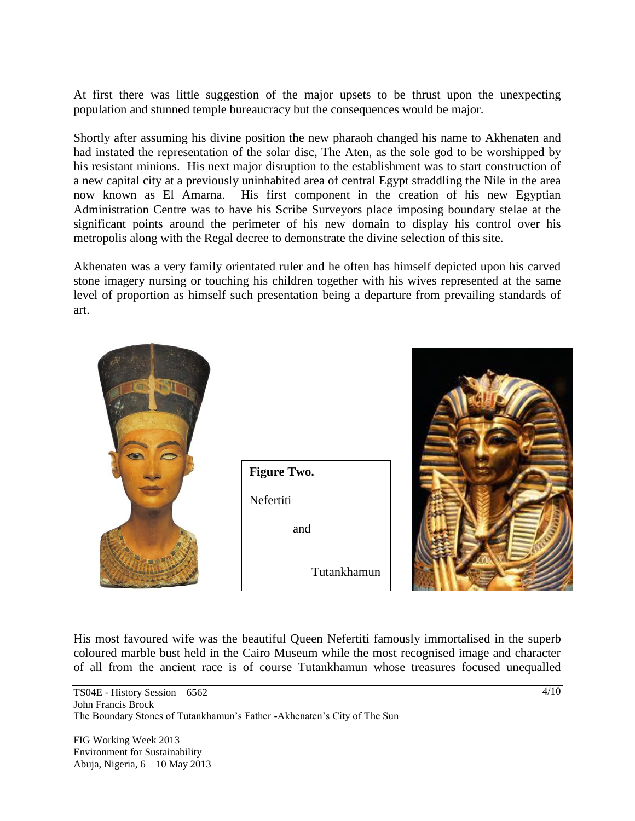At first there was little suggestion of the major upsets to be thrust upon the unexpecting population and stunned temple bureaucracy but the consequences would be major.

Shortly after assuming his divine position the new pharaoh changed his name to Akhenaten and had instated the representation of the solar disc, The Aten, as the sole god to be worshipped by his resistant minions. His next major disruption to the establishment was to start construction of a new capital city at a previously uninhabited area of central Egypt straddling the Nile in the area now known as El Amarna. His first component in the creation of his new Egyptian Administration Centre was to have his Scribe Surveyors place imposing boundary stelae at the significant points around the perimeter of his new domain to display his control over his metropolis along with the Regal decree to demonstrate the divine selection of this site.

Akhenaten was a very family orientated ruler and he often has himself depicted upon his carved stone imagery nursing or touching his children together with his wives represented at the same level of proportion as himself such presentation being a departure from prevailing standards of art.



His most favoured wife was the beautiful Queen Nefertiti famously immortalised in the superb coloured marble bust held in the Cairo Museum while the most recognised image and character of all from the ancient race is of course Tutankhamun whose treasures focused unequalled

TS04E - History Session – 6562 John Francis Brock The Boundary Stones of Tutankhamun's Father -Akhenaten's City of The Sun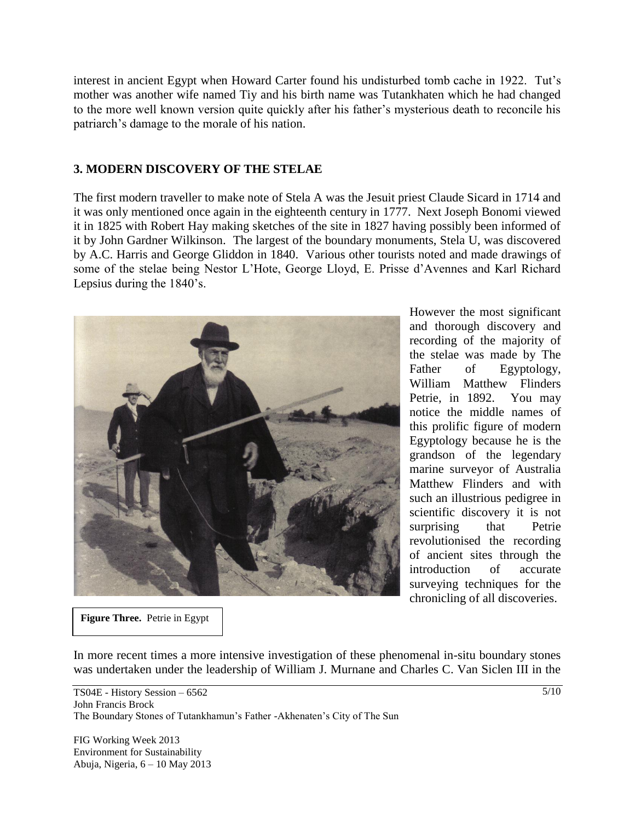interest in ancient Egypt when Howard Carter found his undisturbed tomb cache in 1922. Tut's mother was another wife named Tiy and his birth name was Tutankhaten which he had changed to the more well known version quite quickly after his father"s mysterious death to reconcile his patriarch"s damage to the morale of his nation.

#### **3. MODERN DISCOVERY OF THE STELAE**

The first modern traveller to make note of Stela A was the Jesuit priest Claude Sicard in 1714 and it was only mentioned once again in the eighteenth century in 1777. Next Joseph Bonomi viewed it in 1825 with Robert Hay making sketches of the site in 1827 having possibly been informed of it by John Gardner Wilkinson. The largest of the boundary monuments, Stela U, was discovered by A.C. Harris and George Gliddon in 1840. Various other tourists noted and made drawings of some of the stelae being Nestor L"Hote, George Lloyd, E. Prisse d"Avennes and Karl Richard Lepsius during the 1840's.



However the most significant and thorough discovery and recording of the majority of the stelae was made by The Father of Egyptology, William Matthew Flinders Petrie, in 1892. You may notice the middle names of this prolific figure of modern Egyptology because he is the grandson of the legendary marine surveyor of Australia Matthew Flinders and with such an illustrious pedigree in scientific discovery it is not surprising that Petrie revolutionised the recording of ancient sites through the introduction of accurate surveying techniques for the chronicling of all discoveries.

**Figure Three.** Petrie in Egypt

In more recent times a more intensive investigation of these phenomenal in-situ boundary stones was undertaken under the leadership of William J. Murnane and Charles C. Van Siclen III in the

TS04E - History Session – 6562 John Francis Brock The Boundary Stones of Tutankhamun's Father -Akhenaten's City of The Sun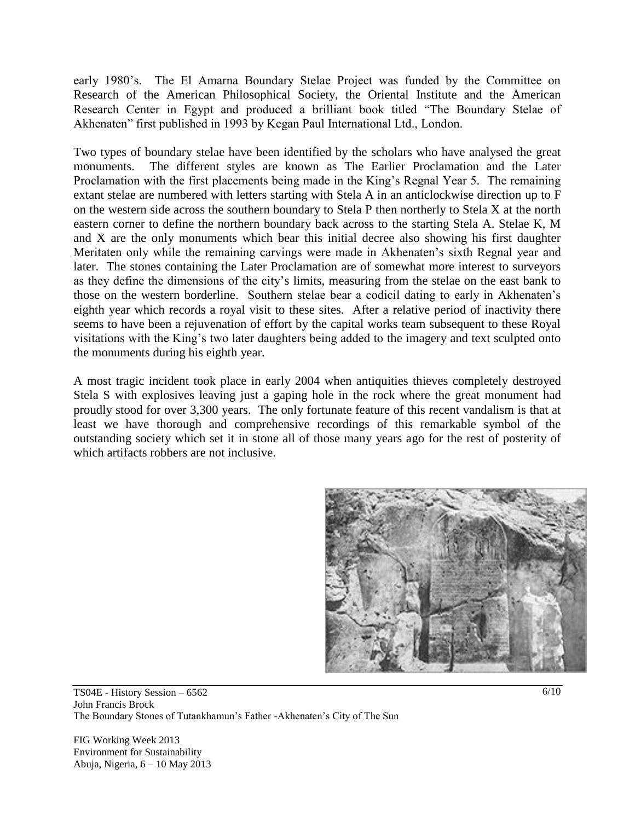early 1980"s. The El Amarna Boundary Stelae Project was funded by the Committee on Research of the American Philosophical Society, the Oriental Institute and the American Research Center in Egypt and produced a brilliant book titled "The Boundary Stelae of Akhenaten" first published in 1993 by Kegan Paul International Ltd., London.

Two types of boundary stelae have been identified by the scholars who have analysed the great monuments. The different styles are known as The Earlier Proclamation and the Later Proclamation with the first placements being made in the King's Regnal Year 5. The remaining extant stelae are numbered with letters starting with Stela A in an anticlockwise direction up to F on the western side across the southern boundary to Stela P then northerly to Stela X at the north eastern corner to define the northern boundary back across to the starting Stela A. Stelae K, M and X are the only monuments which bear this initial decree also showing his first daughter Meritaten only while the remaining carvings were made in Akhenaten"s sixth Regnal year and later. The stones containing the Later Proclamation are of somewhat more interest to surveyors as they define the dimensions of the city"s limits, measuring from the stelae on the east bank to those on the western borderline. Southern stelae bear a codicil dating to early in Akhenaten"s eighth year which records a royal visit to these sites. After a relative period of inactivity there seems to have been a rejuvenation of effort by the capital works team subsequent to these Royal visitations with the King"s two later daughters being added to the imagery and text sculpted onto the monuments during his eighth year.

A most tragic incident took place in early 2004 when antiquities thieves completely destroyed Stela S with explosives leaving just a gaping hole in the rock where the great monument had proudly stood for over 3,300 years. The only fortunate feature of this recent vandalism is that at least we have thorough and comprehensive recordings of this remarkable symbol of the outstanding society which set it in stone all of those many years ago for the rest of posterity of which artifacts robbers are not inclusive.



TS04E - History Session – 6562 John Francis Brock The Boundary Stones of Tutankhamun's Father -Akhenaten's City of The Sun

FIG Working Week 2013 Environment for Sustainability Abuja, Nigeria, 6 – 10 May 2013 6/10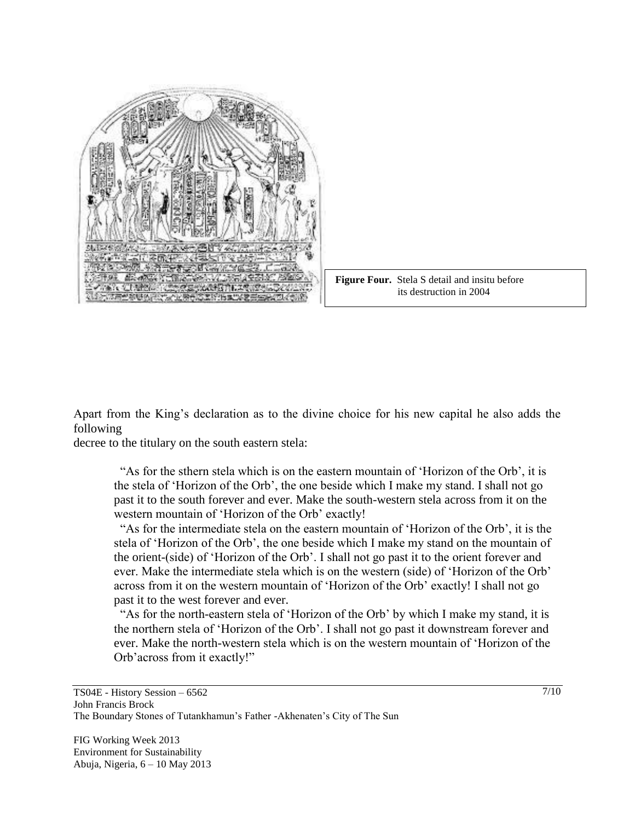



Apart from the King"s declaration as to the divine choice for his new capital he also adds the following

decree to the titulary on the south eastern stela:

 "As for the sthern stela which is on the eastern mountain of "Horizon of the Orb", it is the stela of "Horizon of the Orb", the one beside which I make my stand. I shall not go past it to the south forever and ever. Make the south-western stela across from it on the western mountain of 'Horizon of the Orb' exactly!

 "As for the intermediate stela on the eastern mountain of "Horizon of the Orb", it is the stela of "Horizon of the Orb", the one beside which I make my stand on the mountain of the orient-(side) of "Horizon of the Orb". I shall not go past it to the orient forever and ever. Make the intermediate stela which is on the western (side) of "Horizon of the Orb" across from it on the western mountain of "Horizon of the Orb" exactly! I shall not go past it to the west forever and ever.

 "As for the north-eastern stela of "Horizon of the Orb" by which I make my stand, it is the northern stela of "Horizon of the Orb". I shall not go past it downstream forever and ever. Make the north-western stela which is on the western mountain of "Horizon of the Orb'across from it exactly!"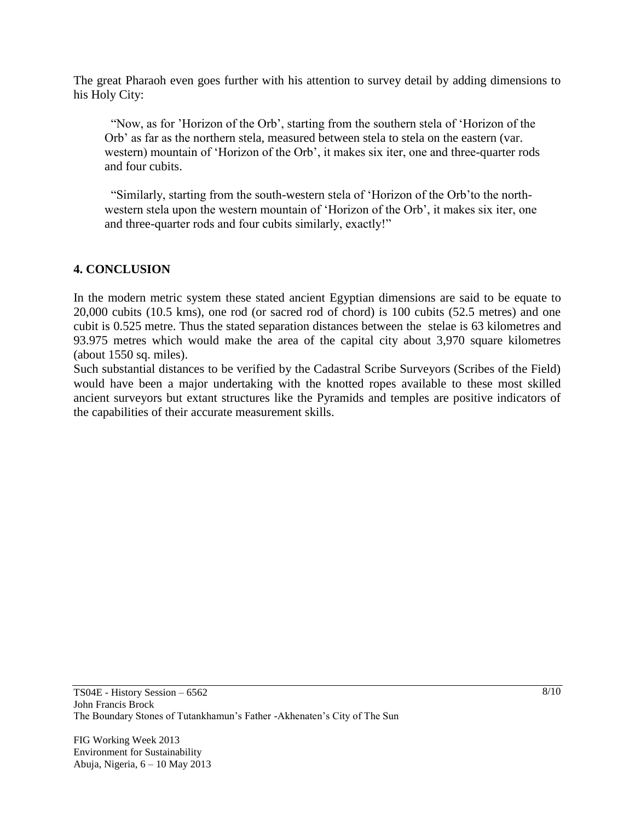The great Pharaoh even goes further with his attention to survey detail by adding dimensions to his Holy City:

 "Now, as for "Horizon of the Orb", starting from the southern stela of "Horizon of the Orb" as far as the northern stela, measured between stela to stela on the eastern (var. western) mountain of "Horizon of the Orb", it makes six iter, one and three-quarter rods and four cubits.

 "Similarly, starting from the south-western stela of "Horizon of the Orb"to the north western stela upon the western mountain of "Horizon of the Orb", it makes six iter, one and three-quarter rods and four cubits similarly, exactly!"

### **4. CONCLUSION**

In the modern metric system these stated ancient Egyptian dimensions are said to be equate to 20,000 cubits (10.5 kms), one rod (or sacred rod of chord) is 100 cubits (52.5 metres) and one cubit is 0.525 metre. Thus the stated separation distances between the stelae is 63 kilometres and 93.975 metres which would make the area of the capital city about 3,970 square kilometres (about 1550 sq. miles).

Such substantial distances to be verified by the Cadastral Scribe Surveyors (Scribes of the Field) would have been a major undertaking with the knotted ropes available to these most skilled ancient surveyors but extant structures like the Pyramids and temples are positive indicators of the capabilities of their accurate measurement skills.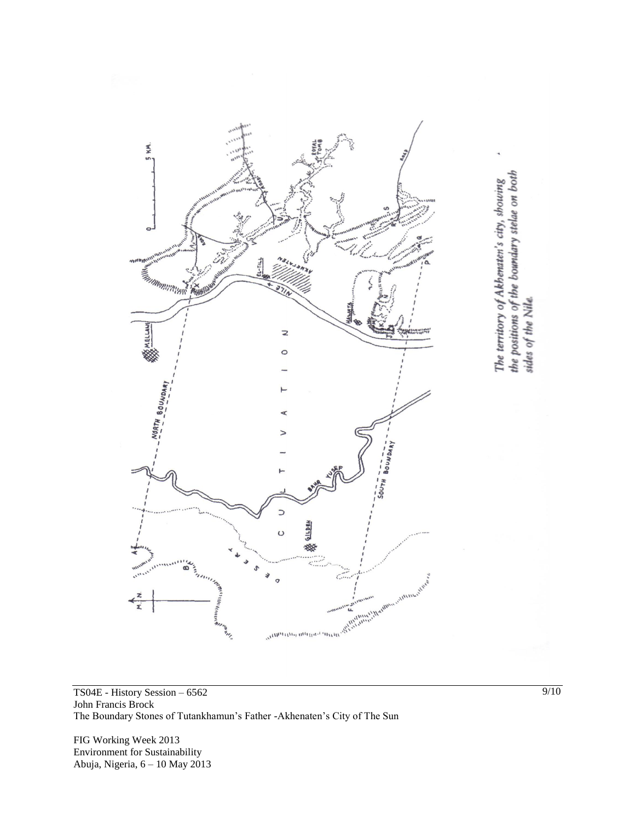

TS04E - History Session – 6562 John Francis Brock The Boundary Stones of Tutankhamun's Father -Akhenaten's City of The Sun

FIG Working Week 2013 Environment for Sustainability Abuja, Nigeria, 6 – 10 May 2013 9/10